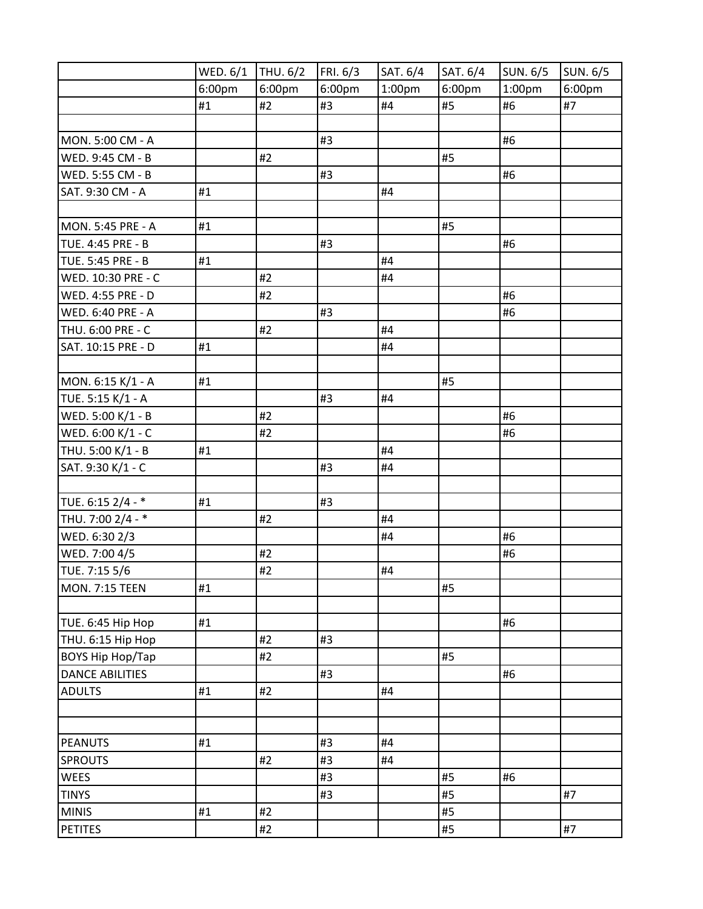|                         | WED. 6/1 | THU. 6/2 | FRI. 6/3 | SAT. 6/4           | SAT. 6/4 | SUN. 6/5 | SUN. 6/5 |
|-------------------------|----------|----------|----------|--------------------|----------|----------|----------|
|                         | 6:00pm   | 6:00pm   | 6:00pm   | 1:00 <sub>pm</sub> | 6:00pm   | 1:00pm   | 6:00pm   |
|                         | #1       | #2       | #3       | #4                 | #5       | #6       | #7       |
|                         |          |          |          |                    |          |          |          |
| MON. 5:00 CM - A        |          |          | #3       |                    |          | #6       |          |
| WED. 9:45 CM - B        |          | #2       |          |                    | #5       |          |          |
| WED. 5:55 CM - B        |          |          | #3       |                    |          | #6       |          |
| SAT. 9:30 CM - A        | #1       |          |          | #4                 |          |          |          |
|                         |          |          |          |                    |          |          |          |
| MON. 5:45 PRE - A       | #1       |          |          |                    | #5       |          |          |
| TUE. 4:45 PRE - B       |          |          | #3       |                    |          | #6       |          |
| TUE. 5:45 PRE - B       | #1       |          |          | #4                 |          |          |          |
| WED. 10:30 PRE - C      |          | #2       |          | #4                 |          |          |          |
| WED. 4:55 PRE - D       |          | #2       |          |                    |          | #6       |          |
| WED. 6:40 PRE - A       |          |          | #3       |                    |          | #6       |          |
| THU. 6:00 PRE - C       |          | #2       |          | #4                 |          |          |          |
| SAT. 10:15 PRE - D      | #1       |          |          | #4                 |          |          |          |
|                         |          |          |          |                    |          |          |          |
| MON. 6:15 K/1 - A       | #1       |          |          |                    | #5       |          |          |
| TUE. 5:15 K/1 - A       |          |          | #3       | #4                 |          |          |          |
| WED. 5:00 K/1 - B       |          | #2       |          |                    |          | #6       |          |
| WED. 6:00 K/1 - C       |          | #2       |          |                    |          | #6       |          |
| THU. 5:00 K/1 - B       | #1       |          |          | #4                 |          |          |          |
| SAT. 9:30 K/1 - C       |          |          | #3       | #4                 |          |          |          |
|                         |          |          |          |                    |          |          |          |
| TUE. 6:15 2/4 - *       | #1       |          | #3       |                    |          |          |          |
| THU. 7:00 2/4 - *       |          | #2       |          | #4                 |          |          |          |
| WED. 6:30 2/3           |          |          |          | #4                 |          | #6       |          |
| WED. 7:00 4/5           |          | #2       |          |                    |          | #6       |          |
| TUE. 7:15 5/6           |          | #2       |          | #4                 |          |          |          |
| <b>MON. 7:15 TEEN</b>   | #1       |          |          |                    | #5       |          |          |
|                         |          |          |          |                    |          |          |          |
| TUE. 6:45 Hip Hop       | #1       |          |          |                    |          | #6       |          |
| THU. 6:15 Hip Hop       |          | #2       | #3       |                    |          |          |          |
| <b>BOYS Hip Hop/Tap</b> |          | #2       |          |                    | #5       |          |          |
| <b>DANCE ABILITIES</b>  |          |          | #3       |                    |          | #6       |          |
| <b>ADULTS</b>           | #1       | #2       |          | #4                 |          |          |          |
|                         |          |          |          |                    |          |          |          |
|                         |          |          |          |                    |          |          |          |
| <b>PEANUTS</b>          | #1       |          | #3       | #4                 |          |          |          |
| <b>SPROUTS</b>          |          | #2       | #3       | #4                 |          |          |          |
| WEES                    |          |          | #3       |                    | #5       | #6       |          |
| <b>TINYS</b>            |          |          | #3       |                    | #5       |          | #7       |
| <b>MINIS</b>            | #1       | #2       |          |                    | #5       |          |          |
| <b>PETITES</b>          |          | #2       |          |                    | #5       |          | #7       |